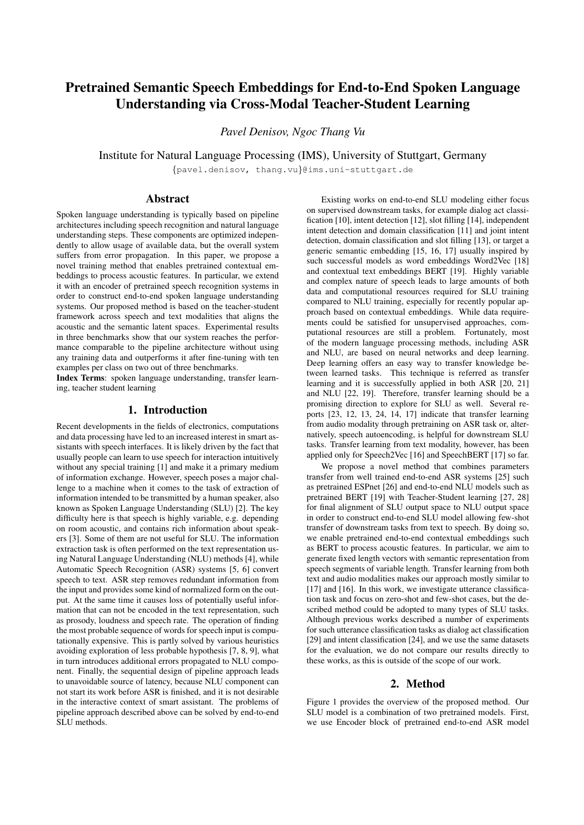# Pretrained Semantic Speech Embeddings for End-to-End Spoken Language Understanding via Cross-Modal Teacher-Student Learning

*Pavel Denisov, Ngoc Thang Vu*

Institute for Natural Language Processing (IMS), University of Stuttgart, Germany

{pavel.denisov, thang.vu}@ims.uni-stuttgart.de

# Abstract

Spoken language understanding is typically based on pipeline architectures including speech recognition and natural language understanding steps. These components are optimized independently to allow usage of available data, but the overall system suffers from error propagation. In this paper, we propose a novel training method that enables pretrained contextual embeddings to process acoustic features. In particular, we extend it with an encoder of pretrained speech recognition systems in order to construct end-to-end spoken language understanding systems. Our proposed method is based on the teacher-student framework across speech and text modalities that aligns the acoustic and the semantic latent spaces. Experimental results in three benchmarks show that our system reaches the performance comparable to the pipeline architecture without using any training data and outperforms it after fine-tuning with ten examples per class on two out of three benchmarks.

Index Terms: spoken language understanding, transfer learning, teacher student learning

# 1. Introduction

Recent developments in the fields of electronics, computations and data processing have led to an increased interest in smart assistants with speech interfaces. It is likely driven by the fact that usually people can learn to use speech for interaction intuitively without any special training [1] and make it a primary medium of information exchange. However, speech poses a major challenge to a machine when it comes to the task of extraction of information intended to be transmitted by a human speaker, also known as Spoken Language Understanding (SLU) [2]. The key difficulty here is that speech is highly variable, e.g. depending on room acoustic, and contains rich information about speakers [3]. Some of them are not useful for SLU. The information extraction task is often performed on the text representation using Natural Language Understanding (NLU) methods [4], while Automatic Speech Recognition (ASR) systems [5, 6] convert speech to text. ASR step removes redundant information from the input and provides some kind of normalized form on the output. At the same time it causes loss of potentially useful information that can not be encoded in the text representation, such as prosody, loudness and speech rate. The operation of finding the most probable sequence of words for speech input is computationally expensive. This is partly solved by various heuristics avoiding exploration of less probable hypothesis [7, 8, 9], what in turn introduces additional errors propagated to NLU component. Finally, the sequential design of pipeline approach leads to unavoidable source of latency, because NLU component can not start its work before ASR is finished, and it is not desirable in the interactive context of smart assistant. The problems of pipeline approach described above can be solved by end-to-end SLU methods.

Existing works on end-to-end SLU modeling either focus on supervised downstream tasks, for example dialog act classification [10], intent detection [12], slot filling [14], independent intent detection and domain classification [11] and joint intent detection, domain classification and slot filling [13], or target a generic semantic embedding [15, 16, 17] usually inspired by such successful models as word embeddings Word2Vec [18] and contextual text embeddings BERT [19]. Highly variable and complex nature of speech leads to large amounts of both data and computational resources required for SLU training compared to NLU training, especially for recently popular approach based on contextual embeddings. While data requirements could be satisfied for unsupervised approaches, computational resources are still a problem. Fortunately, most of the modern language processing methods, including ASR and NLU, are based on neural networks and deep learning. Deep learning offers an easy way to transfer knowledge between learned tasks. This technique is referred as transfer learning and it is successfully applied in both ASR [20, 21] and NLU [22, 19]. Therefore, transfer learning should be a promising direction to explore for SLU as well. Several reports [23, 12, 13, 24, 14, 17] indicate that transfer learning from audio modality through pretraining on ASR task or, alternatively, speech autoencoding, is helpful for downstream SLU tasks. Transfer learning from text modality, however, has been applied only for Speech2Vec [16] and SpeechBERT [17] so far.

We propose a novel method that combines parameters transfer from well trained end-to-end ASR systems [25] such as pretrained ESPnet [26] and end-to-end NLU models such as pretrained BERT [19] with Teacher-Student learning [27, 28] for final alignment of SLU output space to NLU output space in order to construct end-to-end SLU model allowing few-shot transfer of downstream tasks from text to speech. By doing so, we enable pretrained end-to-end contextual embeddings such as BERT to process acoustic features. In particular, we aim to generate fixed length vectors with semantic representation from speech segments of variable length. Transfer learning from both text and audio modalities makes our approach mostly similar to [17] and [16]. In this work, we investigate utterance classification task and focus on zero-shot and few-shot cases, but the described method could be adopted to many types of SLU tasks. Although previous works described a number of experiments for such utterance classification tasks as dialog act classification [29] and intent classification [24], and we use the same datasets for the evaluation, we do not compare our results directly to these works, as this is outside of the scope of our work.

# 2. Method

Figure 1 provides the overview of the proposed method. Our SLU model is a combination of two pretrained models. First, we use Encoder block of pretrained end-to-end ASR model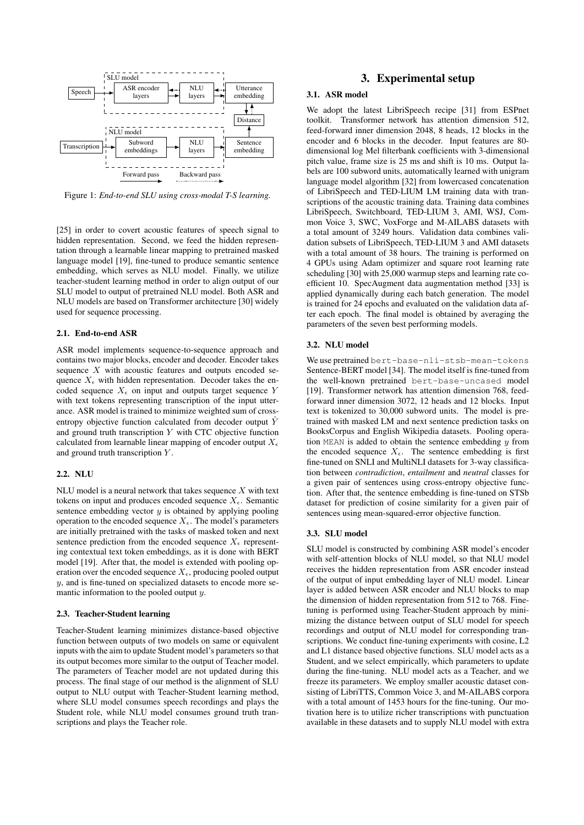

Figure 1: *End-to-end SLU using cross-modal T-S learning.*

[25] in order to covert acoustic features of speech signal to hidden representation. Second, we feed the hidden representation through a learnable linear mapping to pretrained masked language model [19], fine-tuned to produce semantic sentence embedding, which serves as NLU model. Finally, we utilize teacher-student learning method in order to align output of our SLU model to output of pretrained NLU model. Both ASR and NLU models are based on Transformer architecture [30] widely used for sequence processing.

#### 2.1. End-to-end ASR

ASR model implements sequence-to-sequence approach and contains two major blocks, encoder and decoder. Encoder takes sequence  $X$  with acoustic features and outputs encoded sequence  $X_{\epsilon}$  with hidden representation. Decoder takes the encoded sequence  $X_{\epsilon}$  on input and outputs target sequence Y with text tokens representing transcription of the input utterance. ASR model is trained to minimize weighted sum of crossentropy objective function calculated from decoder output  $\hat{Y}$ and ground truth transcription  $Y$  with CTC objective function calculated from learnable linear mapping of encoder output  $X_{\epsilon}$ and ground truth transcription Y .

## 2.2. NLU

NLU model is a neural network that takes sequence  $X$  with text tokens on input and produces encoded sequence  $X_{\epsilon}$ . Semantic sentence embedding vector  $y$  is obtained by applying pooling operation to the encoded sequence  $X_{\epsilon}$ . The model's parameters are initially pretrained with the tasks of masked token and next sentence prediction from the encoded sequence  $X_{\epsilon}$  representing contextual text token embeddings, as it is done with BERT model [19]. After that, the model is extended with pooling operation over the encoded sequence  $X_{\epsilon}$ , producing pooled output  $y$ , and is fine-tuned on specialized datasets to encode more semantic information to the pooled output y.

#### 2.3. Teacher-Student learning

Teacher-Student learning minimizes distance-based objective function between outputs of two models on same or equivalent inputs with the aim to update Student model's parameters so that its output becomes more similar to the output of Teacher model. The parameters of Teacher model are not updated during this process. The final stage of our method is the alignment of SLU output to NLU output with Teacher-Student learning method, where SLU model consumes speech recordings and plays the Student role, while NLU model consumes ground truth transcriptions and plays the Teacher role.

# 3. Experimental setup

## 3.1. ASR model

We adopt the latest LibriSpeech recipe [31] from ESPnet toolkit. Transformer network has attention dimension 512, feed-forward inner dimension 2048, 8 heads, 12 blocks in the encoder and 6 blocks in the decoder. Input features are 80 dimensional log Mel filterbank coefficients with 3-dimensional pitch value, frame size is 25 ms and shift is 10 ms. Output labels are 100 subword units, automatically learned with unigram language model algorithm [32] from lowercased concatenation of LibriSpeech and TED-LIUM LM training data with transcriptions of the acoustic training data. Training data combines LibriSpeech, Switchboard, TED-LIUM 3, AMI, WSJ, Common Voice 3, SWC, VoxForge and M-AILABS datasets with a total amount of 3249 hours. Validation data combines validation subsets of LibriSpeech, TED-LIUM 3 and AMI datasets with a total amount of 38 hours. The training is performed on 4 GPUs using Adam optimizer and square root learning rate scheduling [30] with 25,000 warmup steps and learning rate coefficient 10. SpecAugment data augmentation method [33] is applied dynamically during each batch generation. The model is trained for 24 epochs and evaluated on the validation data after each epoch. The final model is obtained by averaging the parameters of the seven best performing models.

### 3.2. NLU model

We use pretrained bert-base-nli-stsb-mean-tokens Sentence-BERT model [34]. The model itself is fine-tuned from the well-known pretrained bert-base-uncased model [19]. Transformer network has attention dimension 768, feedforward inner dimension 3072, 12 heads and 12 blocks. Input text is tokenized to 30,000 subword units. The model is pretrained with masked LM and next sentence prediction tasks on BooksCorpus and English Wikipedia datasets. Pooling operation MEAN is added to obtain the sentence embedding  $y$  from the encoded sequence  $X_{\epsilon}$ . The sentence embedding is first fine-tuned on SNLI and MultiNLI datasets for 3-way classification between *contradiction*, *entailment* and *neutral* classes for a given pair of sentences using cross-entropy objective function. After that, the sentence embedding is fine-tuned on STSb dataset for prediction of cosine similarity for a given pair of sentences using mean-squared-error objective function.

## 3.3. SLU model

SLU model is constructed by combining ASR model's encoder with self-attention blocks of NLU model, so that NLU model receives the hidden representation from ASR encoder instead of the output of input embedding layer of NLU model. Linear layer is added between ASR encoder and NLU blocks to map the dimension of hidden representation from 512 to 768. Finetuning is performed using Teacher-Student approach by minimizing the distance between output of SLU model for speech recordings and output of NLU model for corresponding transcriptions. We conduct fine-tuning experiments with cosine, L2 and L1 distance based objective functions. SLU model acts as a Student, and we select empirically, which parameters to update during the fine-tuning. NLU model acts as a Teacher, and we freeze its parameters. We employ smaller acoustic dataset consisting of LibriTTS, Common Voice 3, and M-AILABS corpora with a total amount of 1453 hours for the fine-tuning. Our motivation here is to utilize richer transcriptions with punctuation available in these datasets and to supply NLU model with extra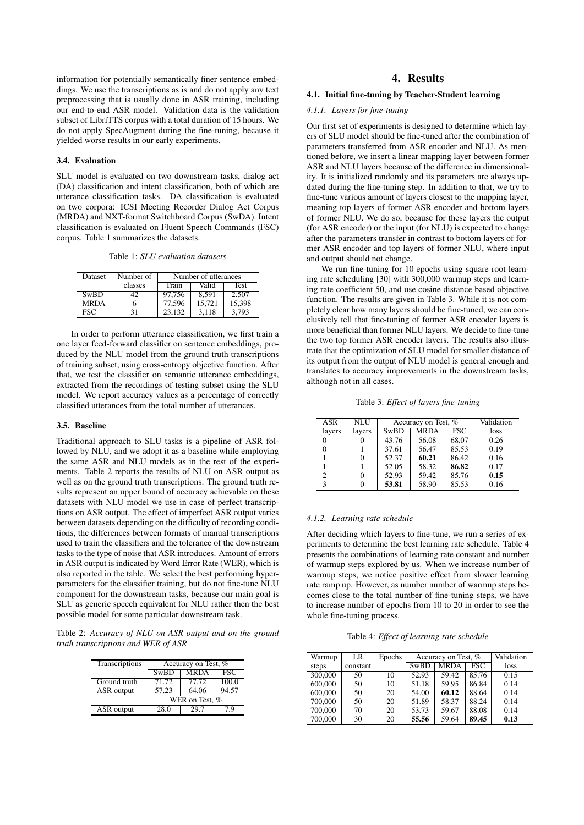information for potentially semantically finer sentence embeddings. We use the transcriptions as is and do not apply any text preprocessing that is usually done in ASR training, including our end-to-end ASR model. Validation data is the validation subset of LibriTTS corpus with a total duration of 15 hours. We do not apply SpecAugment during the fine-tuning, because it yielded worse results in our early experiments.

#### 3.4. Evaluation

SLU model is evaluated on two downstream tasks, dialog act (DA) classification and intent classification, both of which are utterance classification tasks. DA classification is evaluated on two corpora: ICSI Meeting Recorder Dialog Act Corpus (MRDA) and NXT-format Switchboard Corpus (SwDA). Intent classification is evaluated on Fluent Speech Commands (FSC) corpus. Table 1 summarizes the datasets.

Table 1: *SLU evaluation datasets*

| Dataset     | Number of | Number of utterances |        |             |  |
|-------------|-----------|----------------------|--------|-------------|--|
|             | classes   | Train                | Valid  | <b>Test</b> |  |
| SwBD        | 42        | 97.756               | 8.591  | 2.507       |  |
| <b>MRDA</b> | h         | 77,596               | 15.721 | 15,398      |  |
| <b>FSC</b>  | 31        | 23.132               | 3.118  | 3.793       |  |

In order to perform utterance classification, we first train a one layer feed-forward classifier on sentence embeddings, produced by the NLU model from the ground truth transcriptions of training subset, using cross-entropy objective function. After that, we test the classifier on semantic utterance embeddings, extracted from the recordings of testing subset using the SLU model. We report accuracy values as a percentage of correctly classified utterances from the total number of utterances.

## 3.5. Baseline

Traditional approach to SLU tasks is a pipeline of ASR followed by NLU, and we adopt it as a baseline while employing the same ASR and NLU models as in the rest of the experiments. Table 2 reports the results of NLU on ASR output as well as on the ground truth transcriptions. The ground truth results represent an upper bound of accuracy achievable on these datasets with NLU model we use in case of perfect transcriptions on ASR output. The effect of imperfect ASR output varies between datasets depending on the difficulty of recording conditions, the differences between formats of manual transcriptions used to train the classifiers and the tolerance of the downstream tasks to the type of noise that ASR introduces. Amount of errors in ASR output is indicated by Word Error Rate (WER), which is also reported in the table. We select the best performing hyperparameters for the classifier training, but do not fine-tune NLU component for the downstream tasks, because our main goal is SLU as generic speech equivalent for NLU rather then the best possible model for some particular downstream task.

Table 2: *Accuracy of NLU on ASR output and on the ground truth transcriptions and WER of ASR*

| Transcriptions | Accuracy on Test, % |             |            |  |  |
|----------------|---------------------|-------------|------------|--|--|
|                | SwBD                | <b>MRDA</b> | <b>FSC</b> |  |  |
| Ground truth   | 71.72               | 77.72       | 100.0      |  |  |
| ASR output     | 57.23               | 64.06       | 94.57      |  |  |
|                | WER on Test, %      |             |            |  |  |
| ASR output     | 28.0                | 29.7        | 7 Q        |  |  |

# 4. Results

## 4.1. Initial fine-tuning by Teacher-Student learning

#### *4.1.1. Layers for fine-tuning*

Our first set of experiments is designed to determine which layers of SLU model should be fine-tuned after the combination of parameters transferred from ASR encoder and NLU. As mentioned before, we insert a linear mapping layer between former ASR and NLU layers because of the difference in dimensionality. It is initialized randomly and its parameters are always updated during the fine-tuning step. In addition to that, we try to fine-tune various amount of layers closest to the mapping layer, meaning top layers of former ASR encoder and bottom layers of former NLU. We do so, because for these layers the output (for ASR encoder) or the input (for NLU) is expected to change after the parameters transfer in contrast to bottom layers of former ASR encoder and top layers of former NLU, where input and output should not change.

We run fine-tuning for 10 epochs using square root learning rate scheduling [30] with 300,000 warmup steps and learning rate coefficient 50, and use cosine distance based objective function. The results are given in Table 3. While it is not completely clear how many layers should be fine-tuned, we can conclusively tell that fine-tuning of former ASR encoder layers is more beneficial than former NLU layers. We decide to fine-tune the two top former ASR encoder layers. The results also illustrate that the optimization of SLU model for smaller distance of its output from the output of NLU model is general enough and translates to accuracy improvements in the downstream tasks, although not in all cases.

Table 3: *Effect of layers fine-tuning*

| ASR    | <b>NLU</b> | Accuracy on Test, % |             |                         | Validation |
|--------|------------|---------------------|-------------|-------------------------|------------|
| layers | layers     | <b>SwBD</b>         | <b>MRDA</b> | $\overline{\text{FSC}}$ | loss       |
|        |            | 43.76               | 56.08       | 68.07                   | 0.26       |
|        |            | 37.61               | 56.47       | 85.53                   | 0.19       |
|        | 0          | 52.37               | 60.21       | 86.42                   | 0.16       |
|        |            | 52.05               | 58.32       | 86.82                   | 0.17       |
|        | 0          | 52.93               | 59.42       | 85.76                   | 0.15       |
| 3      |            | 53.81               | 58.90       | 85.53                   | 0.16       |

## *4.1.2. Learning rate schedule*

After deciding which layers to fine-tune, we run a series of experiments to determine the best learning rate schedule. Table 4 presents the combinations of learning rate constant and number of warmup steps explored by us. When we increase number of warmup steps, we notice positive effect from slower learning rate ramp up. However, as number number of warmup steps becomes close to the total number of fine-tuning steps, we have to increase number of epochs from 10 to 20 in order to see the whole fine-tuning process.

Table 4: *Effect of learning rate schedule*

| Warmup  | LR       | Epochs | Accuracy on Test, % |             |            | Validation |
|---------|----------|--------|---------------------|-------------|------------|------------|
| steps   | constant |        | SwBD                | <b>MRDA</b> | <b>FSC</b> | loss       |
| 300,000 | 50       | 10     | 52.93               | 59.42       | 85.76      | 0.15       |
| 600,000 | 50       | 10     | 51.18               | 59.95       | 86.84      | 0.14       |
| 600,000 | 50       | 20     | 54.00               | 60.12       | 88.64      | 0.14       |
| 700,000 | 50       | 20     | 51.89               | 58.37       | 88.24      | 0.14       |
| 700,000 | 70       | 20     | 53.73               | 59.67       | 88.08      | 0.14       |
| 700,000 | 30       | 20     | 55.56               | 59.64       | 89.45      | 0.13       |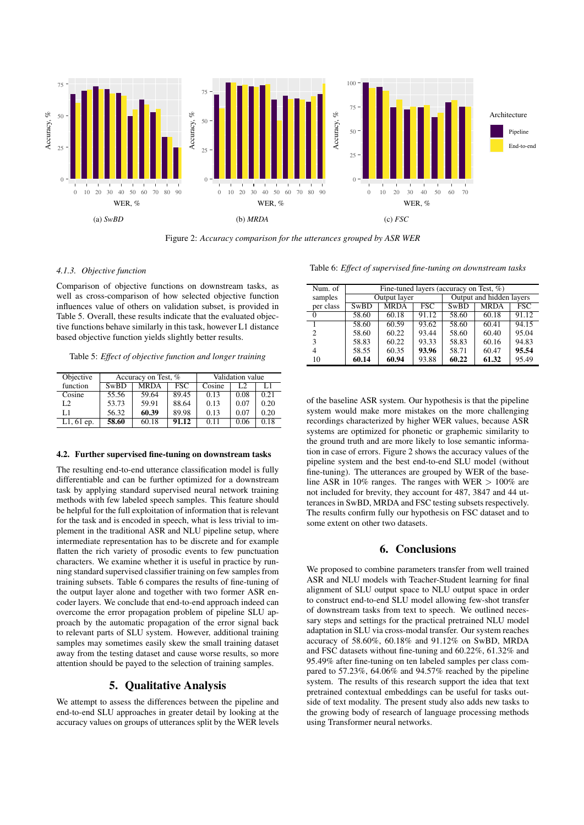

Figure 2: *Accuracy comparison for the utterances grouped by ASR WER*

#### *4.1.3. Objective function*

Comparison of objective functions on downstream tasks, as well as cross-comparison of how selected objective function influences value of others on validation subset, is provided in Table 5. Overall, these results indicate that the evaluated objective functions behave similarly in this task, however L1 distance based objective function yields slightly better results.

Table 5: *Effect of objective function and longer training*

| Objective      | Accuracy on Test, % |             |       | Validation value |      |      |
|----------------|---------------------|-------------|-------|------------------|------|------|
| function       | SwBD                | <b>MRDA</b> | FSC   | Cosine           | L2   |      |
| Cosine         | 55.56               | 59.64       | 89.45 | 0.13             | 0.08 | 0.21 |
| L <sub>2</sub> | 53.73               | 59.91       | 88.64 | 0.13             | 0.07 | 0.20 |
| L1             | 56.32               | 60.39       | 89.98 | 0.13             | 0.07 | 0.20 |
| $L1, 61$ ep.   | 58.60               | 60.18       | 91.12 | 0.11             | 0.06 | 0.18 |

#### 4.2. Further supervised fine-tuning on downstream tasks

The resulting end-to-end utterance classification model is fully differentiable and can be further optimized for a downstream task by applying standard supervised neural network training methods with few labeled speech samples. This feature should be helpful for the full exploitation of information that is relevant for the task and is encoded in speech, what is less trivial to implement in the traditional ASR and NLU pipeline setup, where intermediate representation has to be discrete and for example flatten the rich variety of prosodic events to few punctuation characters. We examine whether it is useful in practice by running standard supervised classifier training on few samples from training subsets. Table 6 compares the results of fine-tuning of the output layer alone and together with two former ASR encoder layers. We conclude that end-to-end approach indeed can overcome the error propagation problem of pipeline SLU approach by the automatic propagation of the error signal back to relevant parts of SLU system. However, additional training samples may sometimes easily skew the small training dataset away from the testing dataset and cause worse results, so more attention should be payed to the selection of training samples.

# 5. Qualitative Analysis

We attempt to assess the differences between the pipeline and end-to-end SLU approaches in greater detail by looking at the accuracy values on groups of utterances split by the WER levels Table 6: *Effect of supervised fine-tuning on downstream tasks*

| Num. of   | Fine-tuned layers (accuracy on Test, %) |             |             |                          |       |                    |
|-----------|-----------------------------------------|-------------|-------------|--------------------------|-------|--------------------|
| samples   | Output layer                            |             |             | Output and hidden layers |       |                    |
| per class | <b>SwBD</b>                             | <b>MRDA</b> | <b>MRDA</b> | FSC                      |       |                    |
| $\Omega$  | 58.60                                   | 60.18       | 91.12       | 58.60                    | 60.18 | $91.\overline{12}$ |
|           | 58.60                                   | 60.59       | 93.62       | 58.60                    | 60.41 | 94.15              |
| 2         | 58.60                                   | 60.22       | 93.44       | 58.60                    | 60.40 | 95.04              |
|           | 58.83                                   | 60.22       | 93.33       | 58.83                    | 60.16 | 94.83              |
| 4         | 58.55                                   | 60.35       | 93.96       | 58.71                    | 60.47 | 95.54              |
| 10        | 60.14                                   | 60.94       | 93.88       | 60.22                    | 61.32 | 95.49              |

of the baseline ASR system. Our hypothesis is that the pipeline system would make more mistakes on the more challenging recordings characterized by higher WER values, because ASR systems are optimized for phonetic or graphemic similarity to the ground truth and are more likely to lose semantic information in case of errors. Figure 2 shows the accuracy values of the pipeline system and the best end-to-end SLU model (without fine-tuning). The utterances are grouped by WER of the baseline ASR in 10% ranges. The ranges with WER  $> 100\%$  are not included for brevity, they account for 487, 3847 and 44 utterances in SwBD, MRDA and FSC testing subsets respectively. The results confirm fully our hypothesis on FSC dataset and to some extent on other two datasets.

## 6. Conclusions

We proposed to combine parameters transfer from well trained ASR and NLU models with Teacher-Student learning for final alignment of SLU output space to NLU output space in order to construct end-to-end SLU model allowing few-shot transfer of downstream tasks from text to speech. We outlined necessary steps and settings for the practical pretrained NLU model adaptation in SLU via cross-modal transfer. Our system reaches accuracy of 58.60%, 60.18% and 91.12% on SwBD, MRDA and FSC datasets without fine-tuning and 60.22%, 61.32% and 95.49% after fine-tuning on ten labeled samples per class compared to 57.23%, 64.06% and 94.57% reached by the pipeline system. The results of this research support the idea that text pretrained contextual embeddings can be useful for tasks outside of text modality. The present study also adds new tasks to the growing body of research of language processing methods using Transformer neural networks.